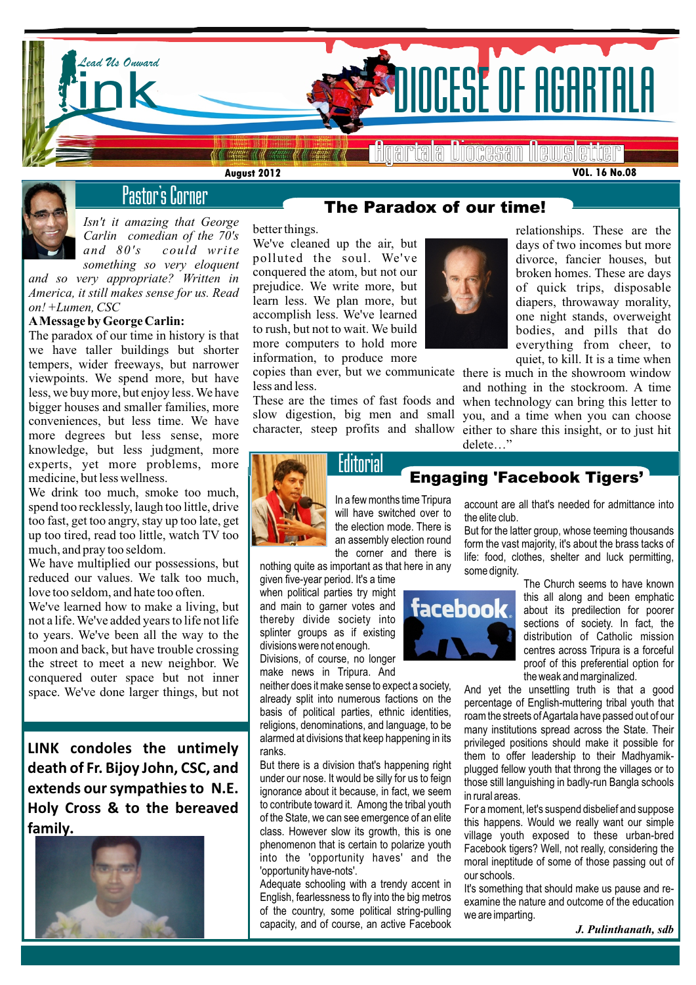



# Pastor's Corner

*Isn't it amazing that George Carlin comedian of the 70′s and 80′s could write something so very eloquent* 

*and so very appropriate? Written in America, it still makes sense for us. Read on! +Lumen, CSC*

#### **AMessage by George Carlin:**

The paradox of our time in history is that we have taller buildings but shorter tempers, wider freeways, but narrower viewpoints. We spend more, but have less, we buy more, but enjoy less. We have bigger houses and smaller families, more conveniences, but less time. We have more degrees but less sense, more knowledge, but less judgment, more experts, yet more problems, more medicine, but less wellness.

We drink too much, smoke too much, spend too recklessly, laugh too little, drive too fast, get too angry, stay up too late, get up too tired, read too little, watch TV too much, and pray too seldom.

We have multiplied our possessions, but reduced our values. We talk too much, love too seldom, and hate too often.

space. We've done larger things, but not  $\left\| \begin{array}{c} \text{then} \\ \text{alre} \\ \text{has} \end{array} \right\|$ We've learned how to make a living, but not a life. We've added years to life not life to years. We've been all the way to the moon and back, but have trouble crossing the street to meet a new neighbor. We conquered outer space but not inner

**LINK condoles the untimely death of Fr. Bijoy John, CSC, and extends our sympathies to N.E. Holy Cross & to the bereaved family.**



### *The Paradox of our time!*

better things.

We've cleaned up the air, but polluted the soul. We've conquered the atom, but not our prejudice. We write more, but learn less. We plan more, but accomplish less. We've learned to rush, but not to wait. We build more computers to hold more information, to produce more

less and less.

These are the times of fast foods and slow digestion, big men and small



relationships. These are the days of two incomes but more divorce, fancier houses, but broken homes. These are days of quick trips, disposable diapers, throwaway morality, one night stands, overweight bodies, and pills that do everything from cheer, to quiet, to kill. It is a time when

copies than ever, but we communicate there is much in the showroom window character, steep profits and shallow either to share this insight, or to just hit and nothing in the stockroom. A time when technology can bring this letter to you, and a time when you can choose delete…"



# *Engaging 'Facebook Tigers'*

In a few months time Tripura will have switched over to the election mode. There is an assembly election round the corner and there is

nothing quite as important as that here in any given five-year period. It's a time when political parties try might and main to garner votes and thereby divide society into splinter groups as if existing divisions were not enough. Divisions, of course, no longer

make news in Tripura. And neither does it make sense to expect a society,

already split into numerous factions on the basis of political parties, ethnic identities, religions, denominations, and language, to be alarmed at divisions that keep happening in its ranks.

But there is a division that's happening right under our nose. It would be silly for us to feign ignorance about it because, in fact, we seem to contribute toward it. Among the tribal youth of the State, we can see emergence of an elite class. However slow its growth, this is one phenomenon that is certain to polarize youth into the 'opportunity haves' and the 'opportunity have-nots'.

Adequate schooling with a trendy accent in English, fearlessness to fly into the big metros of the country, some political string-pulling capacity, and of course, an active Facebook



account are all that's needed for admittance into the elite club.

But for the latter group, whose teeming thousands form the vast majority, it's about the brass tacks of life: food, clothes, shelter and luck permitting, some dignity.

> The Church seems to have known this all along and been emphatic about its predilection for poorer sections of society. In fact, the distribution of Catholic mission centres across Tripura is a forceful proof of this preferential option for the weak and marginalized.

And yet the unsettling truth is that a good percentage of English-muttering tribal youth that roam the streets of Agartala have passed out of our many institutions spread across the State. Their privileged positions should make it possible for them to offer leadership to their Madhyamikplugged fellow youth that throng the villages or to those still languishing in badly-run Bangla schools in rural areas.

For a moment, let's suspend disbelief and suppose this happens. Would we really want our simple village youth exposed to these urban-bred Facebook tigers? Well, not really, considering the moral ineptitude of some of those passing out of our schools.

It's something that should make us pause and reexamine the nature and outcome of the education we are imparting.

*J. Pulinthanath, sdb*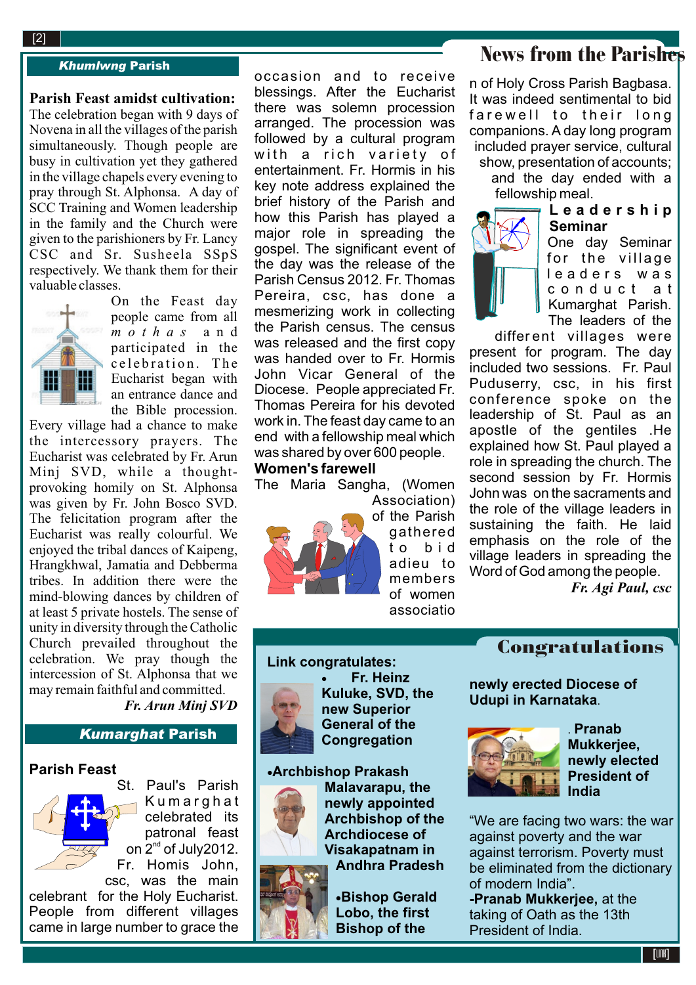#### **2**[2]

#### *Khumlwng Parish*

#### **Parish Feast amidst cultivation:**

The celebration began with 9 days of Novena in all the villages of the parish simultaneously. Though people are busy in cultivation yet they gathered in the village chapels every evening to pray through St. Alphonsa. A day of SCC Training and Women leadership in the family and the Church were given to the parishioners by Fr. Lancy CSC and Sr. Susheela SSpS respectively. We thank them for their valuable classes. On the Feast day



people came from all *m o t h a s* a n d participated in the c e l e bration. The Eucharist began with an entrance dance and the Bible procession.

Every village had a chance to make the intercessory prayers. The Eucharist was celebrated by Fr. Arun Minj SVD, while a thoughtprovoking homily on St. Alphonsa was given by Fr. John Bosco SVD. The felicitation program after the Eucharist was really colourful. We enjoyed the tribal dances of Kaipeng, Hrangkhwal, Jamatia and Debberma tribes. In addition there were the mind-blowing dances by children of at least 5 private hostels. The sense of unity in diversity through the Catholic Church prevailed throughout the celebration. We pray though the intercession of St. Alphonsa that we may remain faithful and committed. *Fr. Arun Minj SVD*

# *Kumarghat Parish*

### **Parish Feast**



St. Paul's Parish **Kumarghat** celebrated its patronal feast on  $2^{nd}$  of July2012. Fr. Homis John, csc, was the main

celebrant for the Holy Eucharist. People from different villages came in large number to grace the occasion and to receive blessings. After the Eucharist there was solemn procession arranged. The procession was followed by a cultural program with a rich variety of entertainment. Fr. Hormis in his key note address explained the brief history of the Parish and how this Parish has played a major role in spreading the gospel. The significant event of the day was the release of the Parish Census 2012. Fr. Thomas Pereira, csc, has done a mesmerizing work in collecting the Parish census. The census was released and the first copy was handed over to Fr. Hormis John Vicar General of the Diocese. People appreciated Fr. Thomas Pereira for his devoted work in. The feast day came to an end with a fellowship meal which was shared by over 600 people.

## **Women's farewell**

The Maria Sangha, (Women



Association) of the Parish gathered t o b i d adieu to members of women associatio

# News from the Parishes

n of Holy Cross Parish Bagbasa. It was indeed sentimental to bid farewell to their long companions. A day long program included prayer service, cultural show, presentation of accounts; and the day ended with a fellowship meal.



One day Seminar for the village leaders was c o n d u c t a t Kumarghat Parish. The leaders of the

different villages were present for program. The day included two sessions. Fr. Paul Puduserry, csc, in his first conference spoke on the leadership of St. Paul as an apostle of the gentiles .He explained how St. Paul played a role in spreading the church. The second session by Fr. Hormis John was on the sacraments and the role of the village leaders in sustaining the faith. He laid emphasis on the role of the village leaders in spreading the Word of God among the people.

*Fr. Agi Paul, csc*

### **Link congratulates:**



 **Fr. Heinz Kuluke, SVD, the new Superior General of the Congregation**

### **Archbishop Prakash**



**Malavarapu, the newly appointed Archbishop of the Archdiocese of Visakapatnam in Andhra Pradesh**

**Bishop Gerald Lobo, the first Bishop of the** 

Congratulations

**newly erected Diocese of Udupi in Karnataka**.



. **Pranab Mukkerjee, newly elected President of India**

"We are facing two wars: the war against poverty and the war against terrorism. Poverty must be eliminated from the dictionary of modern India".

**-Pranab Mukkerjee,** at the taking of Oath as the 13th President of India.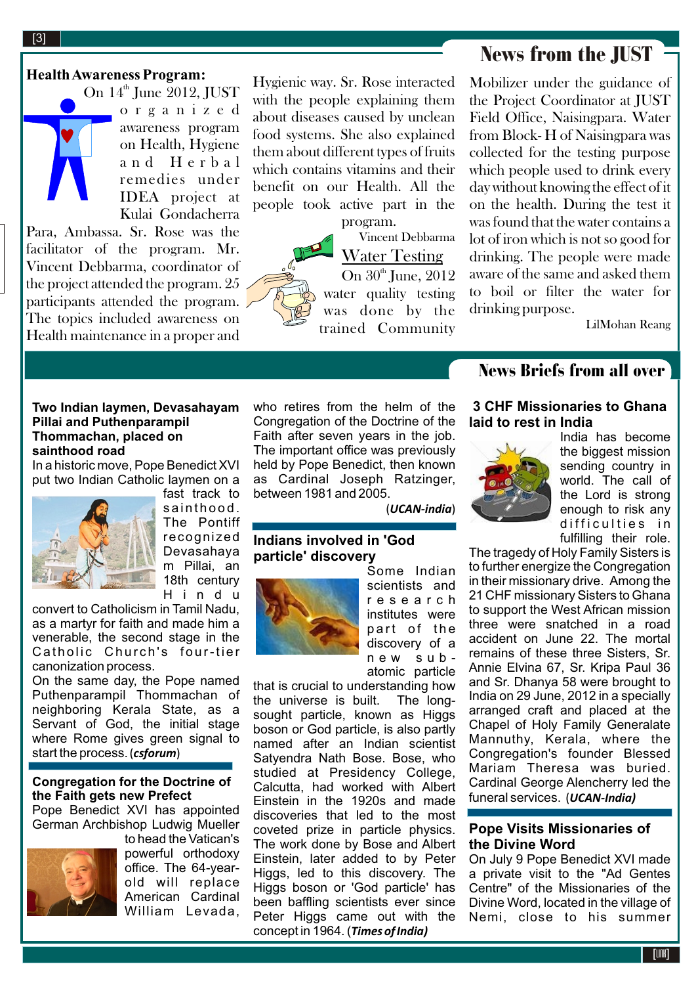# News from the JUST

**Health Awareness Program:**

e C 1 g a H 1 z c d<br>awareness program<br>on Health, Hygiene On  $14^{\text{th}}$  June 2012, JUST o r g a n i z e d on Health, Hygiene a n d H e r b a l remedies under IDEA project at Kulai Gondacherra

Para, Ambassa. Sr. Rose was the facilitator of the program. Mr. Vincent Debbarma, coordinator of the project attended the program. 25 participants attended the program. The topics included awareness on Health maintenance in a proper and

Hygienic way. Sr. Rose interacted with the people explaining them about diseases caused by unclean food systems. She also explained them about different types of fruits which contains vitamins and their benefit on our Health. All the people took active part in the

> program. *Vincent Debbarma*

**Water Testing**  On  $30<sup>th</sup>$  June,  $2012$ water quality testing was done by the trained Community Mobilizer under the guidance of the Project Coordinator at JUST Field Office, Naisingpara. Water from Block- H of Naisingpara was collected for the testing purpose which people used to drink every day without knowing the effect of it on the health. During the test it was found that the water contains a lot of iron which is not so good for drinking. The people were made aware of the same and asked them to boil or filter the water for drinking purpose.

*LilMohan Reang*

### **Two Indian laymen, Devasahayam Pillai and Puthenparampil Thommachan, placed on sainthood road**

In a historic move, Pope Benedict XVI put two Indian Catholic laymen on a



fast track to sainthood. The Pontiff recognized Devasahaya m Pillai, an 18th century H i n d u

convert to Catholicism in Tamil Nadu, as a martyr for faith and made him a venerable, the second stage in the Catholic Church's four-tier canonization process.

On the same day, the Pope named Puthenparampil Thommachan of neighboring Kerala State, as a Servant of God, the initial stage where Rome gives green signal to start the process.(*csforum*)

### **Congregation for the Doctrine of the Faith gets new Prefect**

Pope Benedict XVI has appointed German Archbishop Ludwig Mueller



to head the Vatican's powerful orthodoxy office. The 64-yearold will replace American Cardinal William Levada,

who retires from the helm of the Congregation of the Doctrine of the Faith after seven years in the job. The important office was previously held by Pope Benedict, then known as Cardinal Joseph Ratzinger, between 1981 and 2005.

(*UCAN-india*)

### **Indians involved in 'God particle' discovery**



Some Indian scientists and r e s e a r c h institutes were part of the discovery of a n e w s u b -

atomic particle that is crucial to understanding how the universe is built. The longsought particle, known as Higgs boson or God particle, is also partly named after an Indian scientist Satyendra Nath Bose. Bose, who studied at Presidency College, Calcutta, had worked with Albert Einstein in the 1920s and made discoveries that led to the most coveted prize in particle physics. The work done by Bose and Albert Einstein, later added to by Peter Higgs, led to this discovery. The Higgs boson or 'God particle' has been baffling scientists ever since Peter Higgs came out with the concept in 1964. (*Times of India)*

# News Briefs from all over

### **3 CHF Missionaries to Ghana laid to rest in India**



India has become the biggest mission sending country in world. The call of the Lord is strong enough to risk any difficulties in fulfilling their role.

The tragedy of Holy Family Sisters is to further energize the Congregation in their missionary drive. Among the 21 CHF missionary Sisters to Ghana to support the West African mission three were snatched in a road accident on June 22. The mortal remains of these three Sisters, Sr. Annie Elvina 67, Sr. Kripa Paul 36 and Sr. Dhanya 58 were brought to India on 29 June, 2012 in a specially arranged craft and placed at the Chapel of Holy Family Generalate Mannuthy, Kerala, where the Congregation's founder Blessed Mariam Theresa was buried. Cardinal George Alencherry led the funeral services. (*UCAN-India)*

### **Pope Visits Missionaries of the Divine Word**

On July 9 Pope Benedict XVI made a private visit to the "Ad Gentes Centre" of the Missionaries of the Divine Word, located in the village of Nemi, close to his summer

[3]